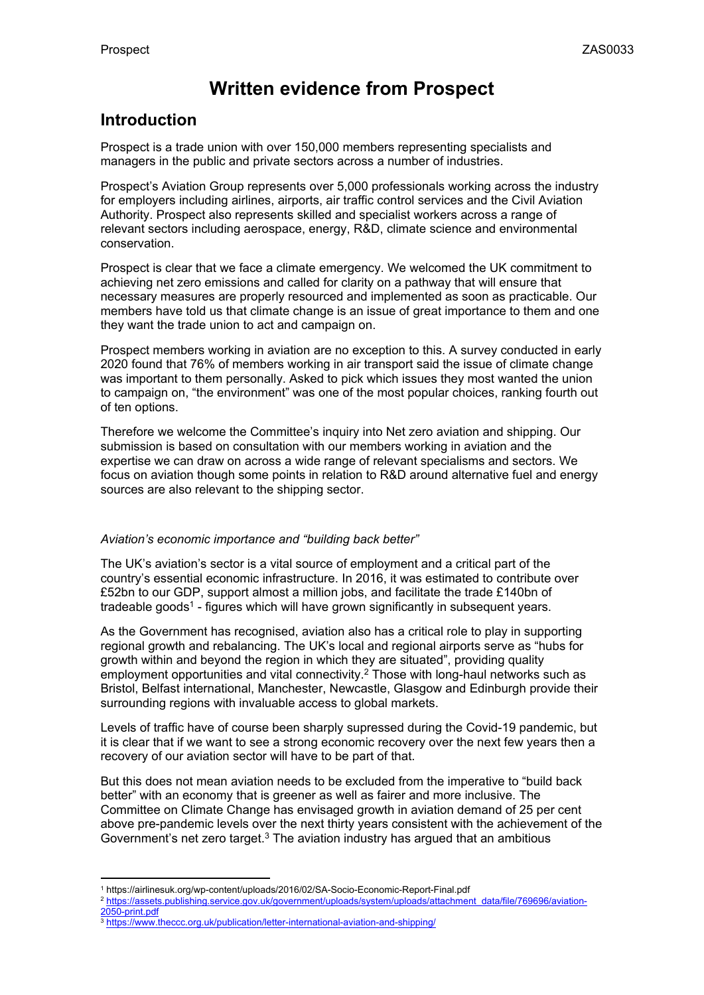# **Written evidence from Prospect**

# **Introduction**

Prospect is a trade union with over 150,000 members representing specialists and managers in the public and private sectors across a number of industries.

Prospect's Aviation Group represents over 5,000 professionals working across the industry for employers including airlines, airports, air traffic control services and the Civil Aviation Authority. Prospect also represents skilled and specialist workers across a range of relevant sectors including aerospace, energy, R&D, climate science and environmental conservation.

Prospect is clear that we face a climate emergency. We welcomed the UK commitment to achieving net zero emissions and called for clarity on a pathway that will ensure that necessary measures are properly resourced and implemented as soon as practicable. Our members have told us that climate change is an issue of great importance to them and one they want the trade union to act and campaign on.

Prospect members working in aviation are no exception to this. A survey conducted in early 2020 found that 76% of members working in air transport said the issue of climate change was important to them personally. Asked to pick which issues they most wanted the union to campaign on, "the environment" was one of the most popular choices, ranking fourth out of ten options.

Therefore we welcome the Committee's inquiry into Net zero aviation and shipping. Our submission is based on consultation with our members working in aviation and the expertise we can draw on across a wide range of relevant specialisms and sectors. We focus on aviation though some points in relation to R&D around alternative fuel and energy sources are also relevant to the shipping sector.

# *Aviation's economic importance and "building back better"*

The UK's aviation's sector is a vital source of employment and a critical part of the country's essential economic infrastructure. In 2016, it was estimated to contribute over £52bn to our GDP, support almost a million jobs, and facilitate the trade £140bn of tradeable goods<sup>1</sup> - figures which will have grown significantly in subsequent years.

As the Government has recognised, aviation also has a critical role to play in supporting regional growth and rebalancing. The UK's local and regional airports serve as "hubs for growth within and beyond the region in which they are situated", providing quality employment opportunities and vital connectivity.<sup>2</sup> Those with long-haul networks such as Bristol, Belfast international, Manchester, Newcastle, Glasgow and Edinburgh provide their surrounding regions with invaluable access to global markets.

Levels of traffic have of course been sharply supressed during the Covid-19 pandemic, but it is clear that if we want to see a strong economic recovery over the next few years then a recovery of our aviation sector will have to be part of that.

But this does not mean aviation needs to be excluded from the imperative to "build back better" with an economy that is greener as well as fairer and more inclusive. The Committee on Climate Change has envisaged growth in aviation demand of 25 per cent above pre-pandemic levels over the next thirty years consistent with the achievement of the Government's net zero target. $3$  The aviation industry has argued that an ambitious

<sup>1</sup> https://airlinesuk.org/wp-content/uploads/2016/02/SA-Socio-Economic-Report-Final.pdf

<sup>&</sup>lt;sup>2</sup> [https://assets.publishing.service.gov.uk/government/uploads/system/uploads/attachment\\_data/file/769696/aviation-](https://assets.publishing.service.gov.uk/government/uploads/system/uploads/attachment_data/file/769696/aviation-2050-print.pdf)[2050-print.pdf](https://assets.publishing.service.gov.uk/government/uploads/system/uploads/attachment_data/file/769696/aviation-2050-print.pdf)

<sup>&</sup>lt;sup>3</sup> <https://www.theccc.org.uk/publication/letter-international-aviation-and-shipping/>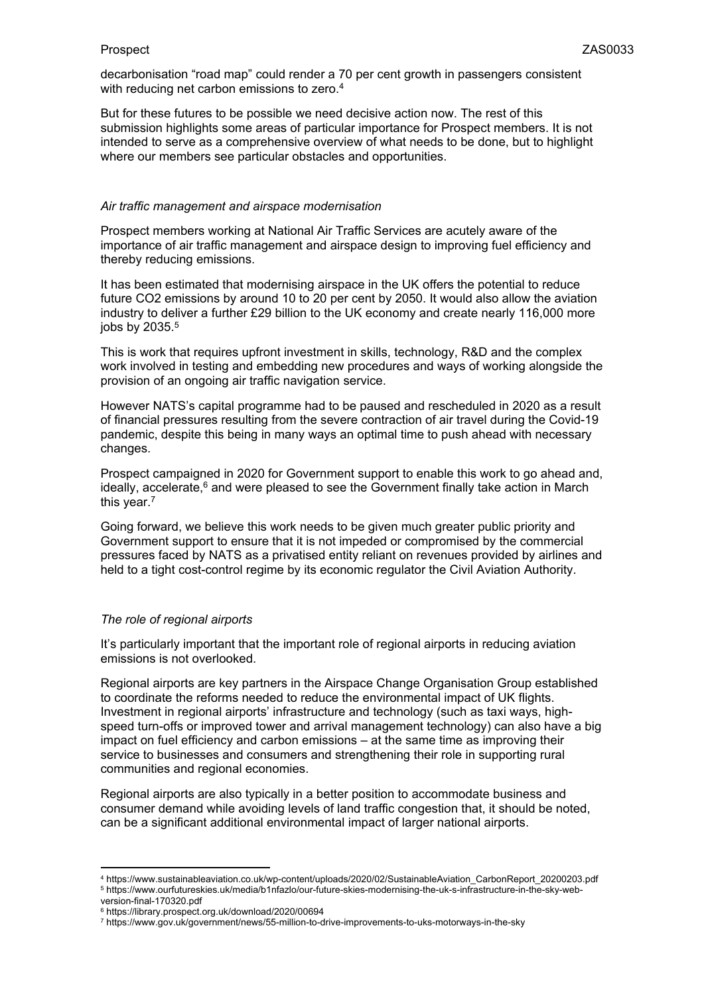decarbonisation "road map" could render a 70 per cent growth in passengers consistent with reducing net carbon emissions to zero.<sup>4</sup>

But for these futures to be possible we need decisive action now. The rest of this submission highlights some areas of particular importance for Prospect members. It is not intended to serve as a comprehensive overview of what needs to be done, but to highlight where our members see particular obstacles and opportunities.

#### *Air traffic management and airspace modernisation*

Prospect members working at National Air Traffic Services are acutely aware of the importance of air traffic management and airspace design to improving fuel efficiency and thereby reducing emissions.

It has been estimated that modernising airspace in the UK offers the potential to reduce future CO2 emissions by around 10 to 20 per cent by 2050. It would also allow the aviation industry to deliver a further £29 billion to the UK economy and create nearly 116,000 more jobs by 2035.<sup>5</sup>

This is work that requires upfront investment in skills, technology, R&D and the complex work involved in testing and embedding new procedures and ways of working alongside the provision of an ongoing air traffic navigation service.

However NATS's capital programme had to be paused and rescheduled in 2020 as a result of financial pressures resulting from the severe contraction of air travel during the Covid-19 pandemic, despite this being in many ways an optimal time to push ahead with necessary changes.

Prospect campaigned in 2020 for Government support to enable this work to go ahead and, ideally, accelerate, $6$  and were pleased to see the Government finally take action in March this year.<sup>7</sup>

Going forward, we believe this work needs to be given much greater public priority and Government support to ensure that it is not impeded or compromised by the commercial pressures faced by NATS as a privatised entity reliant on revenues provided by airlines and held to a tight cost-control regime by its economic regulator the Civil Aviation Authority.

# *The role of regional airports*

It's particularly important that the important role of regional airports in reducing aviation emissions is not overlooked.

Regional airports are key partners in the Airspace Change Organisation Group established to coordinate the reforms needed to reduce the environmental impact of UK flights. Investment in regional airports' infrastructure and technology (such as taxi ways, highspeed turn-offs or improved tower and arrival management technology) can also have a big impact on fuel efficiency and carbon emissions – at the same time as improving their service to businesses and consumers and strengthening their role in supporting rural communities and regional economies.

Regional airports are also typically in a better position to accommodate business and consumer demand while avoiding levels of land traffic congestion that, it should be noted, can be a significant additional environmental impact of larger national airports.

<sup>4</sup> https://www.sustainableaviation.co.uk/wp-content/uploads/2020/02/SustainableAviation\_CarbonReport\_20200203.pdf <sup>5</sup> https://www.ourfutureskies.uk/media/b1nfazlo/our-future-skies-modernising-the-uk-s-infrastructure-in-the-sky-webversion-final-170320.pdf

<sup>6</sup> https://library.prospect.org.uk/download/2020/00694

<sup>7</sup> https://www.gov.uk/government/news/55-million-to-drive-improvements-to-uks-motorways-in-the-sky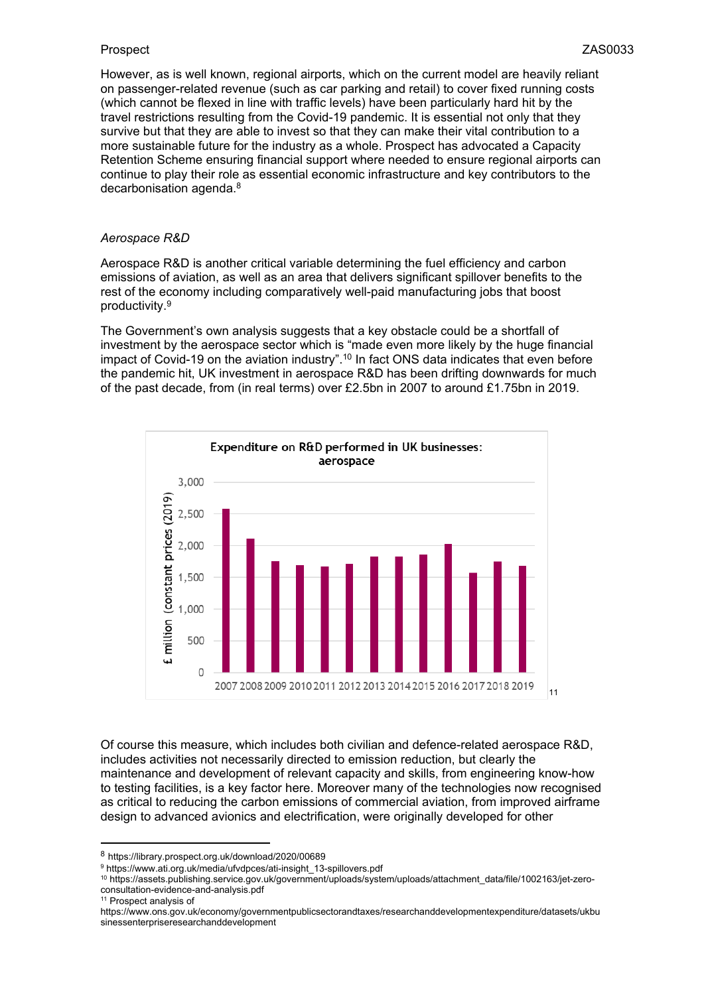However, as is well known, regional airports, which on the current model are heavily reliant on passenger-related revenue (such as car parking and retail) to cover fixed running costs (which cannot be flexed in line with traffic levels) have been particularly hard hit by the travel restrictions resulting from the Covid-19 pandemic. It is essential not only that they survive but that they are able to invest so that they can make their vital contribution to a more sustainable future for the industry as a whole. Prospect has advocated a Capacity Retention Scheme ensuring financial support where needed to ensure regional airports can continue to play their role as essential economic infrastructure and key contributors to the decarbonisation agenda.<sup>8</sup>

#### *Aerospace R&D*

Aerospace R&D is another critical variable determining the fuel efficiency and carbon emissions of aviation, as well as an area that delivers significant spillover benefits to the rest of the economy including comparatively well-paid manufacturing jobs that boost productivity.<sup>9</sup>

The Government's own analysis suggests that a key obstacle could be a shortfall of investment by the aerospace sector which is "made even more likely by the huge financial impact of Covid-19 on the aviation industry".<sup>10</sup> In fact ONS data indicates that even before the pandemic hit, UK investment in aerospace R&D has been drifting downwards for much of the past decade, from (in real terms) over £2.5bn in 2007 to around £1.75bn in 2019.



Of course this measure, which includes both civilian and defence-related aerospace R&D, includes activities not necessarily directed to emission reduction, but clearly the maintenance and development of relevant capacity and skills, from engineering know-how to testing facilities, is a key factor here. Moreover many of the technologies now recognised as critical to reducing the carbon emissions of commercial aviation, from improved airframe design to advanced avionics and electrification, were originally developed for other

<sup>9</sup> https://www.ati.org.uk/media/ufvdpces/ati-insight\_13-spillovers.pdf

11 Prospect analysis of

<sup>8</sup> https://library.prospect.org.uk/download/2020/00689

<sup>10</sup> https://assets.publishing.service.gov.uk/government/uploads/system/uploads/attachment\_data/file/1002163/jet-zeroconsultation-evidence-and-analysis.pdf

https://www.ons.gov.uk/economy/governmentpublicsectorandtaxes/researchanddevelopmentexpenditure/datasets/ukbu sinessenterpriseresearchanddevelopment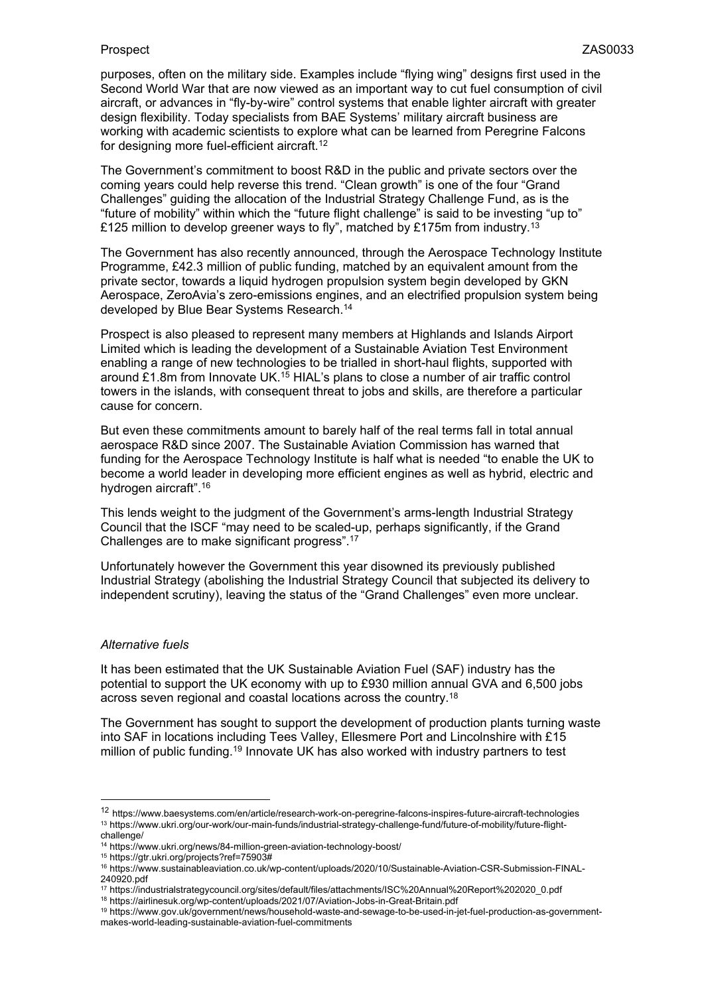purposes, often on the military side. Examples include "flying wing" designs first used in the Second World War that are now viewed as an important way to cut fuel consumption of civil aircraft, or advances in "fly-by-wire" control systems that enable lighter aircraft with greater design flexibility. Today specialists from BAE Systems' military aircraft business are working with academic scientists to explore what can be learned from Peregrine Falcons for designing more fuel-efficient aircraft.<sup>12</sup>

The Government's commitment to boost R&D in the public and private sectors over the coming years could help reverse this trend. "Clean growth" is one of the four "Grand Challenges" guiding the allocation of the Industrial Strategy Challenge Fund, as is the "future of mobility" within which the "future flight challenge" is said to be investing "up to" £125 million to develop greener ways to fly", matched by £175m from industry.<sup>13</sup>

The Government has also recently announced, through the Aerospace Technology Institute Programme, £42.3 million of public funding, matched by an equivalent amount from the private sector, towards a liquid hydrogen propulsion system begin developed by GKN Aerospace, ZeroAvia's zero-emissions engines, and an electrified propulsion system being developed by Blue Bear Systems Research.<sup>14</sup>

Prospect is also pleased to represent many members at Highlands and Islands Airport Limited which is leading the development of a Sustainable Aviation Test Environment enabling a range of new technologies to be trialled in short-haul flights, supported with around £1.8m from Innovate UK.<sup>15</sup> HIAL's plans to close a number of air traffic control towers in the islands, with consequent threat to jobs and skills, are therefore a particular cause for concern.

But even these commitments amount to barely half of the real terms fall in total annual aerospace R&D since 2007. The Sustainable Aviation Commission has warned that funding for the Aerospace Technology Institute is half what is needed "to enable the UK to become a world leader in developing more efficient engines as well as hybrid, electric and hydrogen aircraft".<sup>16</sup>

This lends weight to the judgment of the Government's arms-length Industrial Strategy Council that the ISCF "may need to be scaled-up, perhaps significantly, if the Grand Challenges are to make significant progress".<sup>17</sup>

Unfortunately however the Government this year disowned its previously published Industrial Strategy (abolishing the Industrial Strategy Council that subjected its delivery to independent scrutiny), leaving the status of the "Grand Challenges" even more unclear.

# *Alternative fuels*

It has been estimated that the UK Sustainable Aviation Fuel (SAF) industry has the potential to support the UK economy with up to £930 million annual GVA and 6,500 jobs across seven regional and coastal locations across the country.<sup>18</sup>

The Government has sought to support the development of production plants turning waste into SAF in locations including Tees Valley, Ellesmere Port and Lincolnshire with £15 million of public funding.<sup>19</sup> Innovate UK has also worked with industry partners to test

<sup>12</sup> https://www.baesystems.com/en/article/research-work-on-peregrine-falcons-inspires-future-aircraft-technologies <sup>13</sup> https://www.ukri.org/our-work/our-main-funds/industrial-strategy-challenge-fund/future-of-mobility/future-flight-

challenge/ <sup>14</sup> https://www.ukri.org/news/84-million-green-aviation-technology-boost/

<sup>15</sup> https://gtr.ukri.org/projects?ref=75903#

<sup>16</sup> https://www.sustainableaviation.co.uk/wp-content/uploads/2020/10/Sustainable-Aviation-CSR-Submission-FINAL-240920.pdf

<sup>17</sup> https://industrialstrategycouncil.org/sites/default/files/attachments/ISC%20Annual%20Report%202020\_0.pdf

<sup>18</sup> https://airlinesuk.org/wp-content/uploads/2021/07/Aviation-Jobs-in-Great-Britain.pdf

<sup>19</sup> https://www.gov.uk/government/news/household-waste-and-sewage-to-be-used-in-jet-fuel-production-as-governmentmakes-world-leading-sustainable-aviation-fuel-commitments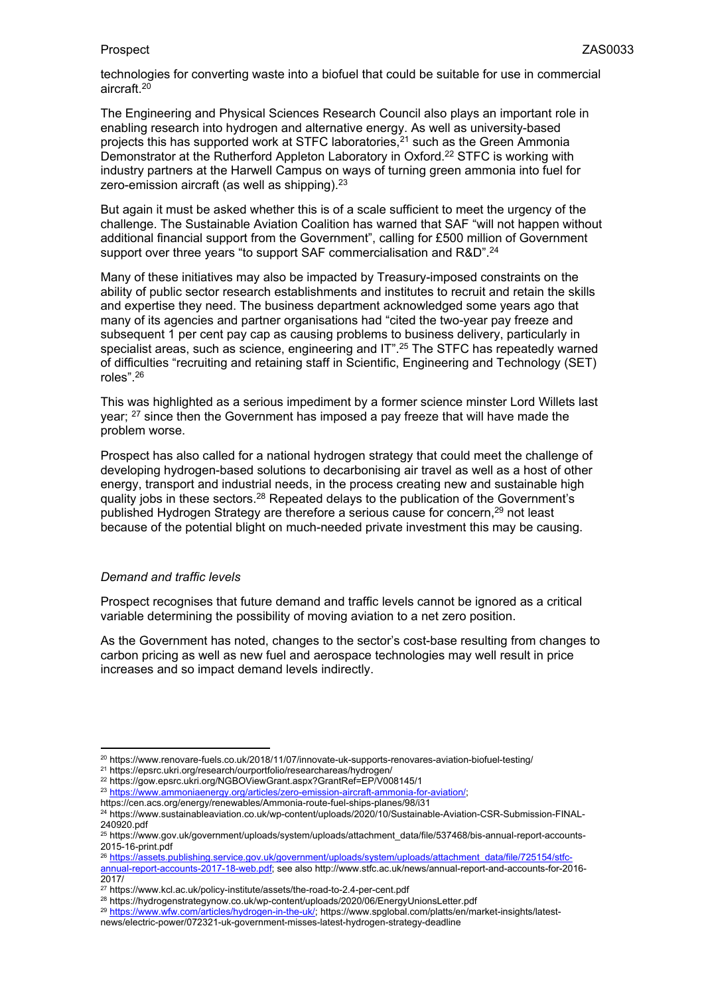technologies for converting waste into a biofuel that could be suitable for use in commercial aircraft.<sup>20</sup>

The Engineering and Physical Sciences Research Council also plays an important role in enabling research into hydrogen and alternative energy. As well as university-based projects this has supported work at STFC laboratories,<sup>21</sup> such as the Green Ammonia Demonstrator at the Rutherford Appleton Laboratory in Oxford.<sup>22</sup> STFC is working with industry partners at the Harwell Campus on ways of turning green ammonia into fuel for zero-emission aircraft (as well as shipping).<sup>23</sup>

But again it must be asked whether this is of a scale sufficient to meet the urgency of the challenge. The Sustainable Aviation Coalition has warned that SAF "will not happen without additional financial support from the Government", calling for £500 million of Government support over three years "to support SAF commercialisation and R&D".<sup>24</sup>

Many of these initiatives may also be impacted by Treasury-imposed constraints on the ability of public sector research establishments and institutes to recruit and retain the skills and expertise they need. The business department acknowledged some years ago that many of its agencies and partner organisations had "cited the two-year pay freeze and subsequent 1 per cent pay cap as causing problems to business delivery, particularly in specialist areas, such as science, engineering and IT".<sup>25</sup> The STFC has repeatedly warned of difficulties "recruiting and retaining staff in Scientific, Engineering and Technology (SET) roles".<sup>26</sup>

This was highlighted as a serious impediment by a former science minster Lord Willets last year; <sup>27</sup> since then the Government has imposed a pay freeze that will have made the problem worse.

Prospect has also called for a national hydrogen strategy that could meet the challenge of developing hydrogen-based solutions to decarbonising air travel as well as a host of other energy, transport and industrial needs, in the process creating new and sustainable high quality jobs in these sectors.<sup>28</sup> Repeated delays to the publication of the Government's published Hydrogen Strategy are therefore a serious cause for concern,<sup>29</sup> not least because of the potential blight on much-needed private investment this may be causing.

# *Demand and traffic levels*

Prospect recognises that future demand and traffic levels cannot be ignored as a critical variable determining the possibility of moving aviation to a net zero position.

As the Government has noted, changes to the sector's cost-base resulting from changes to carbon pricing as well as new fuel and aerospace technologies may well result in price increases and so impact demand levels indirectly.

https://cen.acs.org/energy/renewables/Ammonia-route-fuel-ships-planes/98/i31

<sup>20</sup> https://www.renovare-fuels.co.uk/2018/11/07/innovate-uk-supports-renovares-aviation-biofuel-testing/

<sup>21</sup> https://epsrc.ukri.org/research/ourportfolio/researchareas/hydrogen/

<sup>22</sup> https://gow.epsrc.ukri.org/NGBOViewGrant.aspx?GrantRef=EP/V008145/1

<sup>&</sup>lt;sup>23</sup> <https://www.ammoniaenergy.org/articles/zero-emission-aircraft-ammonia-for-aviation/>;

<sup>24</sup> https://www.sustainableaviation.co.uk/wp-content/uploads/2020/10/Sustainable-Aviation-CSR-Submission-FINAL-240920.pdf

<sup>25</sup> https://www.gov.uk/government/uploads/system/uploads/attachment\_data/file/537468/bis-annual-report-accounts-2015-16-print.pdf

<sup>26</sup> [https://assets.publishing.service.gov.uk/government/uploads/system/uploads/attachment\\_data/file/725154/stfc-](https://assets.publishing.service.gov.uk/government/uploads/system/uploads/attachment_data/file/725154/stfc-annual-report-accounts-2017-18-web.pdf)

[annual-report-accounts-2017-18-web.pdf;](https://assets.publishing.service.gov.uk/government/uploads/system/uploads/attachment_data/file/725154/stfc-annual-report-accounts-2017-18-web.pdf) see also http://www.stfc.ac.uk/news/annual-report-and-accounts-for-2016- 2017/

<sup>27</sup> https://www.kcl.ac.uk/policy-institute/assets/the-road-to-2.4-per-cent.pdf

<sup>28</sup> https://hydrogenstrategynow.co.uk/wp-content/uploads/2020/06/EnergyUnionsLetter.pdf

<sup>&</sup>lt;sup>29</sup> [https://www.wfw.com/articles/hydrogen-in-the-uk/;](https://www.wfw.com/articles/hydrogen-in-the-uk/) https://www.spglobal.com/platts/en/market-insights/latestnews/electric-power/072321-uk-government-misses-latest-hydrogen-strategy-deadline